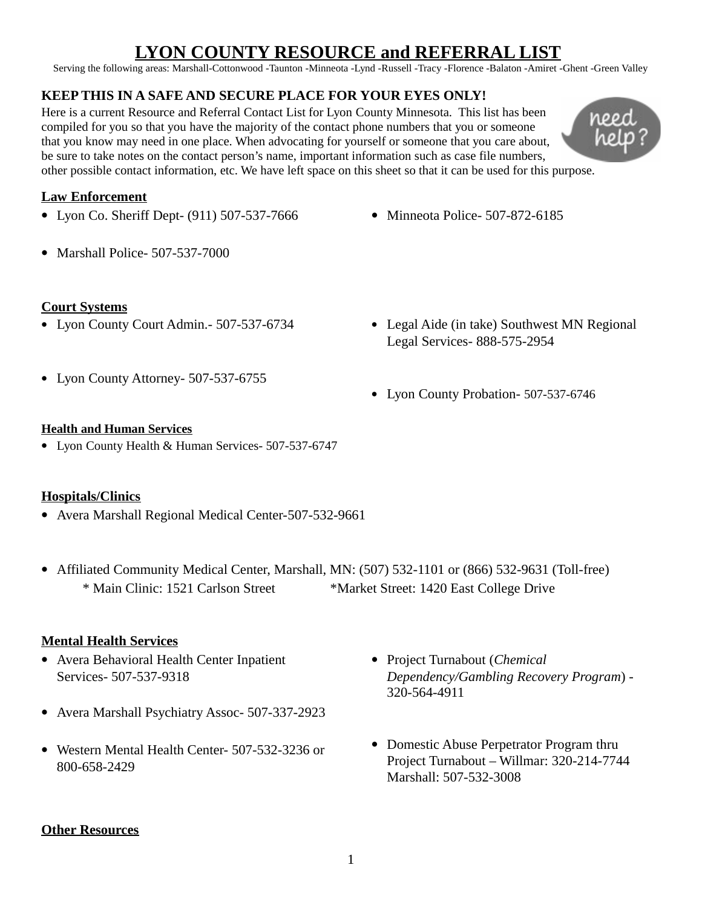# **LYON COUNTY RESOURCE and REFERRAL LIST**

Serving the following areas: Marshall-Cottonwood -Taunton -Minneota -Lynd -Russell -Tracy -Florence -Balaton -Amiret -Ghent -Green Valley

# **KEEP THIS IN A SAFE AND SECURE PLACE FOR YOUR EYES ONLY!**

Here is a current Resource and Referral Contact List for Lyon County Minnesota. This list has been compiled for you so that you have the majority of the contact phone numbers that you or someone that you know may need in one place. When advocating for yourself or someone that you care about, be sure to take notes on the contact person's name, important information such as case file numbers, other possible contact information, etc. We have left space on this sheet so that it can be used for this purpose.



# **Law Enforcement**

- Lyon Co. Sheriff Dept- (911) 507-537-7666
- Minneota Police- 507-872-6185

Marshall Police- 507-537-7000

## **Court Systems**

- Lyon County Court Admin.- 507-537-6734
- Legal Aide (in take) Southwest MN Regional Legal Services- 888-575-2954

Lyon County Attorney- 507-537-6755

Lyon County Probation- 507-537-6746

## **Health and Human Services**

Lyon County Health & Human Services- 507-537-6747

#### **Hospitals/Clinics**

- Avera Marshall Regional Medical Center-507-532-9661
- Affiliated Community Medical Center, Marshall, MN: (507) 532-1101 or (866) 532-9631 (Toll-free) \* Main Clinic: 1521 Carlson Street \*Market Street: 1420 East College Drive

# **Mental Health Services**

- Avera Behavioral Health Center Inpatient Services- 507-537-9318
- Avera Marshall Psychiatry Assoc- 507-337-2923
- Western Mental Health Center- 507-532-3236 or 800-658-2429
- Project Turnabout (*Chemical Dependency/Gambling Recovery Program*) - 320-564-4911
- Domestic Abuse Perpetrator Program thru Project Turnabout – Willmar: 320-214-7744 Marshall: 507-532-3008

#### **Other Resources**